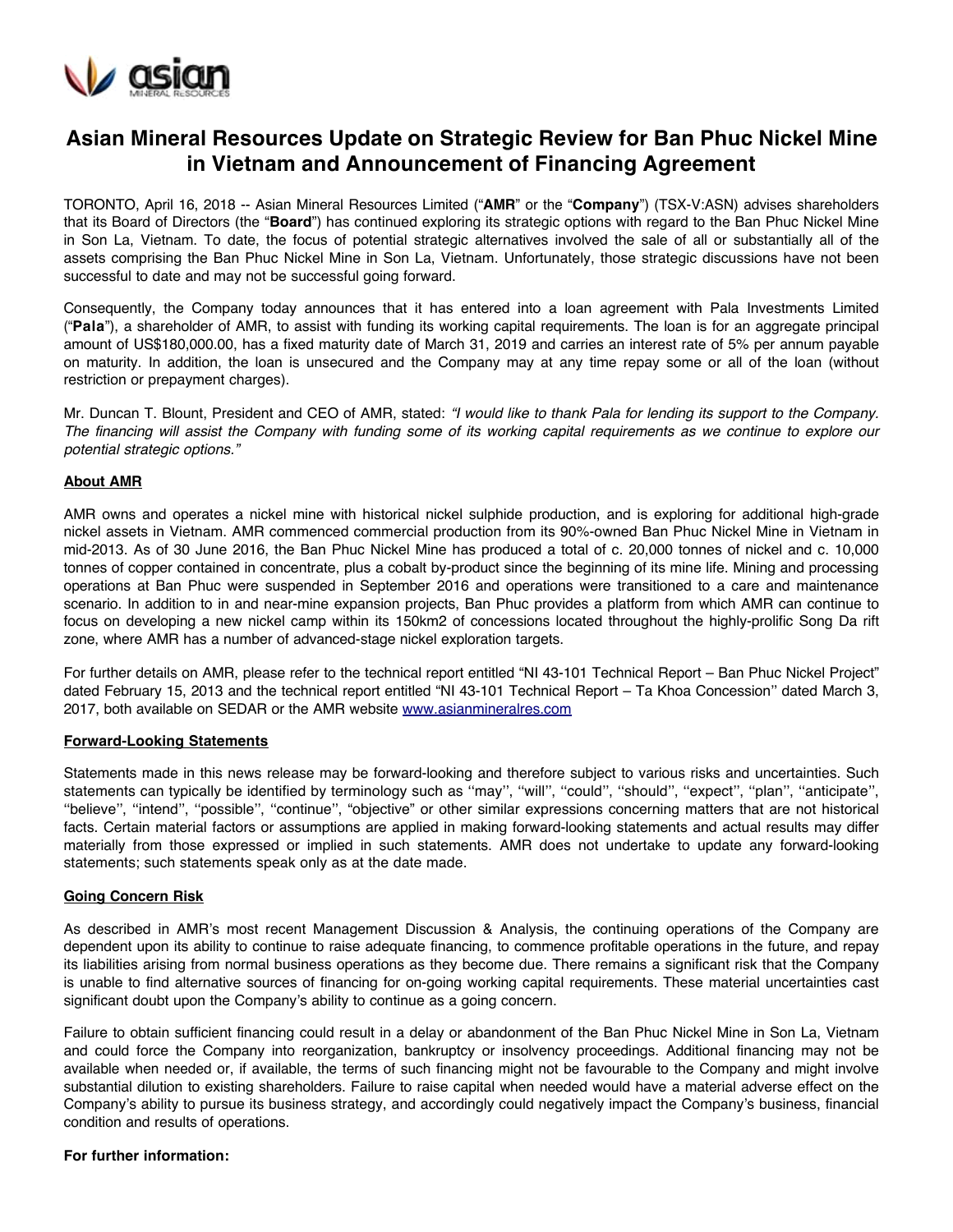

# **Asian Mineral Resources Update on Strategic Review for Ban Phuc Nickel Mine in Vietnam and Announcement of Financing Agreement**

TORONTO, April 16, 2018 -- Asian Mineral Resources Limited ("**AMR**" or the "**Company**") (TSX-V:ASN) advises shareholders that its Board of Directors (the "**Board**") has continued exploring its strategic options with regard to the Ban Phuc Nickel Mine in Son La, Vietnam. To date, the focus of potential strategic alternatives involved the sale of all or substantially all of the assets comprising the Ban Phuc Nickel Mine in Son La, Vietnam. Unfortunately, those strategic discussions have not been successful to date and may not be successful going forward.

Consequently, the Company today announces that it has entered into a loan agreement with Pala Investments Limited ("**Pala**"), a shareholder of AMR, to assist with funding its working capital requirements. The loan is for an aggregate principal amount of US\$180,000.00, has a fixed maturity date of March 31, 2019 and carries an interest rate of 5% per annum payable on maturity. In addition, the loan is unsecured and the Company may at any time repay some or all of the loan (without restriction or prepayment charges).

Mr. Duncan T. Blount, President and CEO of AMR, stated: *"I would like to thank Pala for lending its support to the Company. The financing will assist the Company with funding some of its working capital requirements as we continue to explore our potential strategic options."*

#### **About AMR**

AMR owns and operates a nickel mine with historical nickel sulphide production, and is exploring for additional high-grade nickel assets in Vietnam. AMR commenced commercial production from its 90%-owned Ban Phuc Nickel Mine in Vietnam in mid-2013. As of 30 June 2016, the Ban Phuc Nickel Mine has produced a total of c. 20,000 tonnes of nickel and c. 10,000 tonnes of copper contained in concentrate, plus a cobalt by-product since the beginning of its mine life. Mining and processing operations at Ban Phuc were suspended in September 2016 and operations were transitioned to a care and maintenance scenario. In addition to in and near-mine expansion projects, Ban Phuc provides a platform from which AMR can continue to focus on developing a new nickel camp within its 150km2 of concessions located throughout the highly-prolific Song Da rift zone, where AMR has a number of advanced-stage nickel exploration targets.

For further details on AMR, please refer to the technical report entitled "NI 43-101 Technical Report – Ban Phuc Nickel Project" dated February 15, 2013 and the technical report entitled "NI 43-101 Technical Report – Ta Khoa Concession'' dated March 3, 2017, both available on SEDAR or the AMR website [www.asianmineralres.com](http://www.asianmineralres.com/)

#### **Forward-Looking Statements**

Statements made in this news release may be forward-looking and therefore subject to various risks and uncertainties. Such statements can typically be identified by terminology such as ''may'', ''will'', ''could'', ''should'', ''expect'', ''plan'', ''anticipate'', ''believe'', ''intend'', ''possible'', ''continue'', "objective" or other similar expressions concerning matters that are not historical facts. Certain material factors or assumptions are applied in making forward-looking statements and actual results may differ materially from those expressed or implied in such statements. AMR does not undertake to update any forward-looking statements; such statements speak only as at the date made.

## **Going Concern Risk**

As described in AMR's most recent Management Discussion & Analysis, the continuing operations of the Company are dependent upon its ability to continue to raise adequate financing, to commence profitable operations in the future, and repay its liabilities arising from normal business operations as they become due. There remains a significant risk that the Company is unable to find alternative sources of financing for on-going working capital requirements. These material uncertainties cast significant doubt upon the Company's ability to continue as a going concern.

Failure to obtain sufficient financing could result in a delay or abandonment of the Ban Phuc Nickel Mine in Son La, Vietnam and could force the Company into reorganization, bankruptcy or insolvency proceedings. Additional financing may not be available when needed or, if available, the terms of such financing might not be favourable to the Company and might involve substantial dilution to existing shareholders. Failure to raise capital when needed would have a material adverse effect on the Company's ability to pursue its business strategy, and accordingly could negatively impact the Company's business, financial condition and results of operations.

## **For further information:**